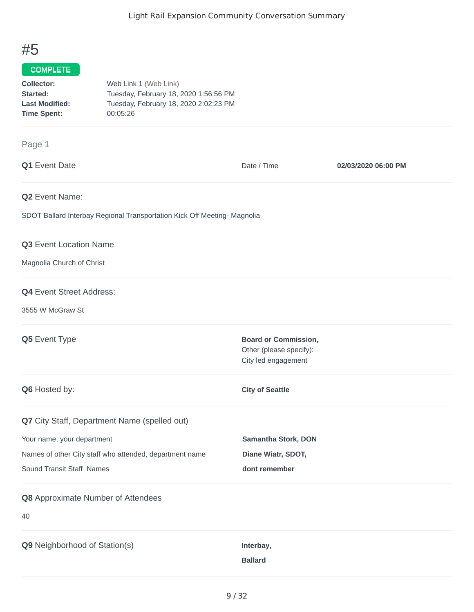## #5

## COMPLETE

| Collector:            | Web Link 1 (Web Link)                 |
|-----------------------|---------------------------------------|
| Started:              | Tuesday, February 18, 2020 1:56:56 PM |
| <b>Last Modified:</b> | Tuesday, February 18, 2020 2:02:23 PM |
| <b>Time Spent:</b>    | 00:05:26                              |

## Page 1

| Q1 Event Date                                                            | Date / Time                                                                   | 02/03/2020 06:00 PM |
|--------------------------------------------------------------------------|-------------------------------------------------------------------------------|---------------------|
| Q2 Event Name:                                                           |                                                                               |                     |
| SDOT Ballard Interbay Regional Transportation Kick Off Meeting- Magnolia |                                                                               |                     |
| Q3 Event Location Name                                                   |                                                                               |                     |
| Magnolia Church of Christ                                                |                                                                               |                     |
| Q4 Event Street Address:                                                 |                                                                               |                     |
| 3555 W McGraw St                                                         |                                                                               |                     |
| Q5 Event Type                                                            | <b>Board or Commission,</b><br>Other (please specify):<br>City led engagement |                     |
| Q6 Hosted by:                                                            | <b>City of Seattle</b>                                                        |                     |
| Q7 City Staff, Department Name (spelled out)                             |                                                                               |                     |
| Your name, your department                                               | Samantha Stork, DON                                                           |                     |
| Names of other City staff who attended, department name                  | Diane Wiatr, SDOT,                                                            |                     |
| Sound Transit Staff Names                                                | dont remember                                                                 |                     |
| Q8 Approximate Number of Attendees                                       |                                                                               |                     |
| 40                                                                       |                                                                               |                     |
| Q9 Neighborhood of Station(s)                                            | Interbay,<br><b>Ballard</b>                                                   |                     |